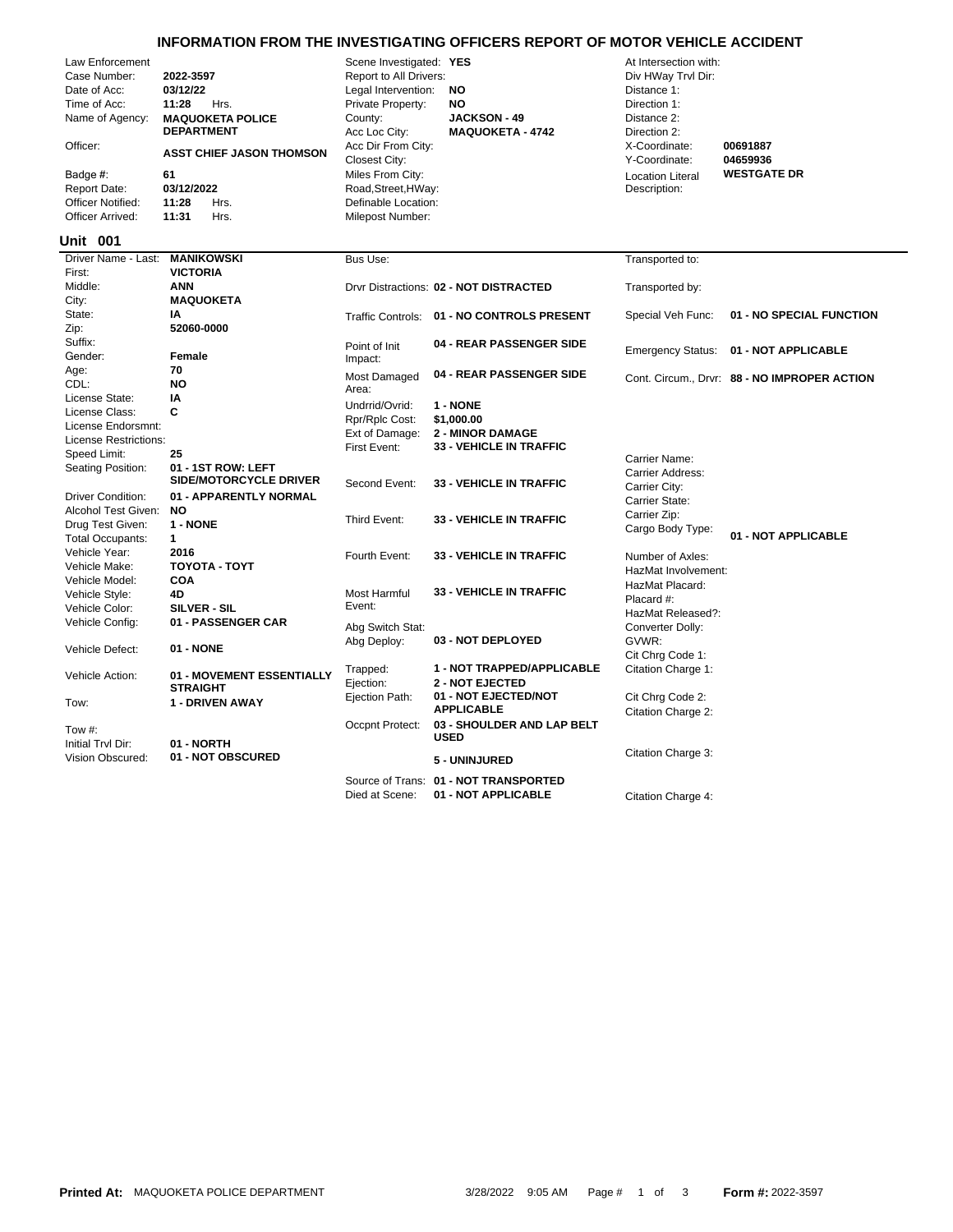## **INFORMATION FROM THE INVESTIGATING OFFICERS REPORT OF MOTOR VEHICLE ACCIDENT**

| Case Number:<br>Date of Acc:<br>Time of Acc:<br>Officer:<br>Badge #: | Law Enforcement<br>Name of Agency: | 2022-3597<br>03/12/22<br>11:28<br>Hrs.<br><b>MAQUOKETA POLICE</b><br><b>DEPARTMENT</b><br><b>ASST CHIEF JASON THOMSON</b><br>61 | Scene Investigated: YES<br>Report to All Drivers:<br>Legal Intervention:<br>Private Property:<br>County:<br>Acc Loc City:<br>Acc Dir From City:<br>Closest City:<br>Miles From City: | ΝO<br><b>NO</b><br><b>JACKSON - 49</b><br><b>MAQUOKETA - 4742</b> | At Intersection with:<br>Div HWay Trvl Dir:<br>Distance 1:<br>Direction 1:<br>Distance 2:<br>Direction 2:<br>X-Coordinate:<br>Y-Coordinate:<br><b>Location Literal</b> | 00691887<br>04659936<br><b>WESTGATE DR</b>   |  |  |
|----------------------------------------------------------------------|------------------------------------|---------------------------------------------------------------------------------------------------------------------------------|--------------------------------------------------------------------------------------------------------------------------------------------------------------------------------------|-------------------------------------------------------------------|------------------------------------------------------------------------------------------------------------------------------------------------------------------------|----------------------------------------------|--|--|
| <b>Report Date:</b>                                                  |                                    | 03/12/2022                                                                                                                      | Road, Street, HWay:                                                                                                                                                                  |                                                                   | Description:                                                                                                                                                           |                                              |  |  |
|                                                                      | Officer Notified:                  | 11:28<br>Hrs.                                                                                                                   | Definable Location:                                                                                                                                                                  |                                                                   |                                                                                                                                                                        |                                              |  |  |
| Officer Arrived:                                                     |                                    | 11:31<br>Hrs.                                                                                                                   | Milepost Number:                                                                                                                                                                     |                                                                   |                                                                                                                                                                        |                                              |  |  |
| <b>Unit 001</b>                                                      |                                    |                                                                                                                                 |                                                                                                                                                                                      |                                                                   |                                                                                                                                                                        |                                              |  |  |
| First:                                                               | Driver Name - Last:                | <b>MANIKOWSKI</b><br><b>VICTORIA</b>                                                                                            | Bus Use:                                                                                                                                                                             |                                                                   | Transported to:                                                                                                                                                        |                                              |  |  |
| Middle:                                                              |                                    | <b>ANN</b>                                                                                                                      |                                                                                                                                                                                      | Drvr Distractions: 02 - NOT DISTRACTED                            | Transported by:                                                                                                                                                        |                                              |  |  |
| City:                                                                |                                    | <b>MAQUOKETA</b>                                                                                                                |                                                                                                                                                                                      |                                                                   |                                                                                                                                                                        |                                              |  |  |
| State:                                                               |                                    | IA                                                                                                                              |                                                                                                                                                                                      | Traffic Controls: 01 - NO CONTROLS PRESENT                        | Special Veh Func:                                                                                                                                                      | 01 - NO SPECIAL FUNCTION                     |  |  |
| Zip:                                                                 |                                    | 52060-0000                                                                                                                      |                                                                                                                                                                                      |                                                                   |                                                                                                                                                                        |                                              |  |  |
| Suffix:                                                              |                                    |                                                                                                                                 | Point of Init                                                                                                                                                                        | 04 - REAR PASSENGER SIDE                                          |                                                                                                                                                                        | 01 - NOT APPLICABLE                          |  |  |
| Gender:                                                              |                                    | <b>Female</b>                                                                                                                   | Impact:                                                                                                                                                                              |                                                                   | <b>Emergency Status:</b>                                                                                                                                               |                                              |  |  |
| Age:                                                                 |                                    | 70                                                                                                                              | Most Damaged                                                                                                                                                                         | 04 - REAR PASSENGER SIDE                                          |                                                                                                                                                                        | Cont. Circum., Drvr: 88 - NO IMPROPER ACTION |  |  |
| CDL:                                                                 |                                    | <b>NO</b>                                                                                                                       | Area:                                                                                                                                                                                |                                                                   |                                                                                                                                                                        |                                              |  |  |
| License State:                                                       |                                    | IA                                                                                                                              | Undrrid/Ovrid:                                                                                                                                                                       | 1 - NONE                                                          |                                                                                                                                                                        |                                              |  |  |
| License Class:                                                       |                                    | C                                                                                                                               | Rpr/Rplc Cost:                                                                                                                                                                       | \$1,000.00                                                        |                                                                                                                                                                        |                                              |  |  |
|                                                                      | License Endorsmnt:                 |                                                                                                                                 | Ext of Damage:                                                                                                                                                                       | <b>2 - MINOR DAMAGE</b>                                           |                                                                                                                                                                        |                                              |  |  |
|                                                                      | License Restrictions:              |                                                                                                                                 | First Event:                                                                                                                                                                         | <b>33 - VEHICLE IN TRAFFIC</b>                                    |                                                                                                                                                                        |                                              |  |  |
| Speed Limit:                                                         |                                    | 25                                                                                                                              |                                                                                                                                                                                      |                                                                   | Carrier Name:                                                                                                                                                          |                                              |  |  |
|                                                                      | Seating Position:                  | 01 - 1ST ROW: LEFT<br><b>SIDE/MOTORCYCLE DRIVER</b>                                                                             | Second Event:                                                                                                                                                                        | <b>33 - VEHICLE IN TRAFFIC</b>                                    | Carrier Address:<br>Carrier City:                                                                                                                                      |                                              |  |  |
|                                                                      | <b>Driver Condition:</b>           | 01 - APPARENTLY NORMAL                                                                                                          |                                                                                                                                                                                      |                                                                   | Carrier State:                                                                                                                                                         |                                              |  |  |
|                                                                      | Alcohol Test Given:                | <b>NO</b>                                                                                                                       | Third Event:                                                                                                                                                                         | <b>33 - VEHICLE IN TRAFFIC</b>                                    | Carrier Zip:                                                                                                                                                           |                                              |  |  |
|                                                                      | Drug Test Given:                   | 1 - NONE                                                                                                                        |                                                                                                                                                                                      |                                                                   | Cargo Body Type:                                                                                                                                                       | 01 - NOT APPLICABLE                          |  |  |
|                                                                      | <b>Total Occupants:</b>            | $\mathbf{1}$                                                                                                                    |                                                                                                                                                                                      |                                                                   |                                                                                                                                                                        |                                              |  |  |
| Vehicle Year:                                                        |                                    | 2016                                                                                                                            | Fourth Event:                                                                                                                                                                        | <b>33 - VEHICLE IN TRAFFIC</b>                                    | Number of Axles:                                                                                                                                                       |                                              |  |  |
| Vehicle Make:                                                        |                                    | ΤΟΥΟΤΑ - ΤΟΥΤ<br><b>COA</b>                                                                                                     |                                                                                                                                                                                      |                                                                   | HazMat Involvement:                                                                                                                                                    |                                              |  |  |
| Vehicle Model:<br>Vehicle Style:                                     |                                    | 4D                                                                                                                              | Most Harmful                                                                                                                                                                         | <b>33 - VEHICLE IN TRAFFIC</b>                                    | HazMat Placard:                                                                                                                                                        |                                              |  |  |
| Vehicle Color:                                                       |                                    | SILVER - SIL                                                                                                                    | Event:                                                                                                                                                                               |                                                                   | Placard #:                                                                                                                                                             |                                              |  |  |
| Vehicle Config:                                                      |                                    | 01 - PASSENGER CAR                                                                                                              |                                                                                                                                                                                      |                                                                   | HazMat Released?:                                                                                                                                                      |                                              |  |  |
|                                                                      |                                    |                                                                                                                                 | Abg Switch Stat:                                                                                                                                                                     |                                                                   | Converter Dolly:                                                                                                                                                       |                                              |  |  |
| Vehicle Defect:                                                      |                                    | 01 - NONE                                                                                                                       | Abg Deploy:                                                                                                                                                                          | 03 - NOT DEPLOYED                                                 | GVWR:                                                                                                                                                                  |                                              |  |  |
|                                                                      |                                    |                                                                                                                                 |                                                                                                                                                                                      |                                                                   | Cit Chrg Code 1:                                                                                                                                                       |                                              |  |  |
| Vehicle Action:                                                      |                                    | 01 - MOVEMENT ESSENTIALLY<br><b>STRAIGHT</b>                                                                                    | Trapped:<br>Ejection:                                                                                                                                                                | 1 - NOT TRAPPED/APPLICABLE<br><b>2 - NOT EJECTED</b>              | Citation Charge 1:                                                                                                                                                     |                                              |  |  |
| Tow:                                                                 |                                    | 1 - DRIVEN AWAY                                                                                                                 | Ejection Path:                                                                                                                                                                       | 01 - NOT EJECTED/NOT<br><b>APPLICABLE</b>                         | Cit Chrg Code 2:<br>Citation Charge 2:                                                                                                                                 |                                              |  |  |
| Tow $#$ :<br>Initial Trvl Dir:                                       |                                    | 01 - NORTH                                                                                                                      | Occpnt Protect:                                                                                                                                                                      | 03 - SHOULDER AND LAP BELT<br><b>USED</b>                         |                                                                                                                                                                        |                                              |  |  |
|                                                                      | Vision Obscured:                   | 01 - NOT OBSCURED                                                                                                               |                                                                                                                                                                                      | 5 - UNINJURED                                                     | Citation Charge 3:                                                                                                                                                     |                                              |  |  |
|                                                                      |                                    |                                                                                                                                 |                                                                                                                                                                                      | Source of Trans: 01 - NOT TRANSPORTED                             |                                                                                                                                                                        |                                              |  |  |

Died at Scene: **01 - NOT APPLICABLE** Citation Charge 4: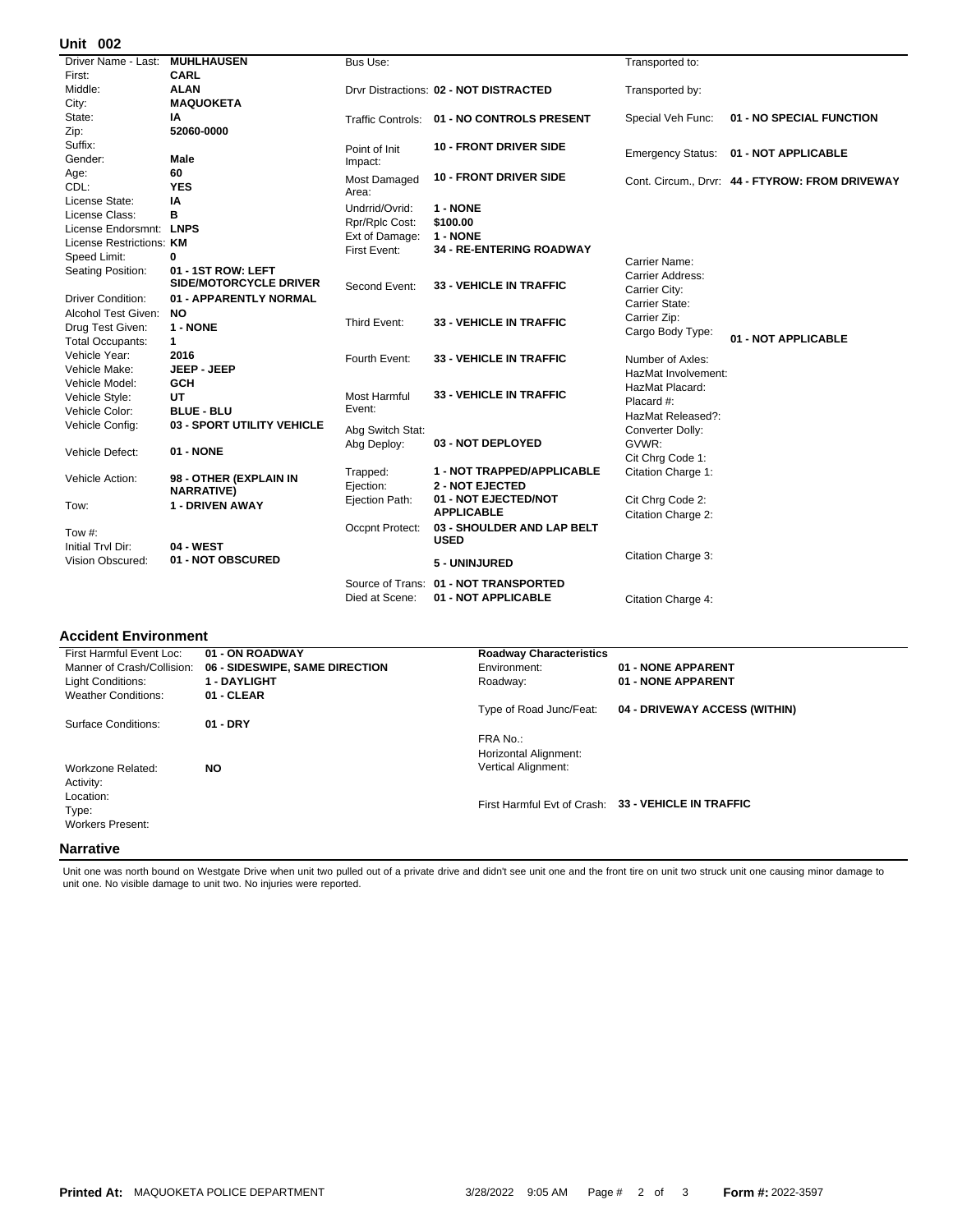## **002 Unit**

| אט וווי                  |                               |                                |                                            |                          |                                                 |
|--------------------------|-------------------------------|--------------------------------|--------------------------------------------|--------------------------|-------------------------------------------------|
| Driver Name - Last:      | <b>MUHLHAUSEN</b>             | Bus Use:                       |                                            | Transported to:          |                                                 |
| First:                   | CARL                          |                                |                                            |                          |                                                 |
| Middle:                  | <b>ALAN</b>                   |                                | Drvr Distractions: 02 - NOT DISTRACTED     | Transported by:          |                                                 |
| City:                    | <b>MAQUOKETA</b>              |                                |                                            |                          |                                                 |
| State:                   | IA                            |                                | Traffic Controls: 01 - NO CONTROLS PRESENT | Special Veh Func:        | 01 - NO SPECIAL FUNCTION                        |
| Zip:                     | 52060-0000                    |                                |                                            |                          |                                                 |
| Suffix:                  |                               | Point of Init                  | <b>10 - FRONT DRIVER SIDE</b>              |                          | 01 - NOT APPLICABLE                             |
| Gender:                  | Male                          | Impact:                        |                                            | <b>Emergency Status:</b> |                                                 |
| Age:                     | 60                            | Most Damaged                   | <b>10 - FRONT DRIVER SIDE</b>              |                          |                                                 |
| CDL:                     | <b>YES</b>                    | Area:                          |                                            |                          | Cont. Circum., Drvr: 44 - FTYROW: FROM DRIVEWAY |
| License State:           | IA                            | Undrrid/Ovrid:                 | 1 - NONE                                   |                          |                                                 |
| License Class:           | в                             |                                | \$100.00                                   |                          |                                                 |
| License Endorsmnt:       | <b>LNPS</b>                   | Rpr/Rplc Cost:                 | 1 - NONE                                   |                          |                                                 |
| License Restrictions: KM |                               | Ext of Damage:<br>First Event: | <b>34 - RE-ENTERING ROADWAY</b>            |                          |                                                 |
| Speed Limit:             | 0                             |                                |                                            | Carrier Name:            |                                                 |
| Seating Position:        | 01 - 1ST ROW: LEFT            |                                |                                            | Carrier Address:         |                                                 |
|                          | <b>SIDE/MOTORCYCLE DRIVER</b> | Second Event:                  | <b>33 - VEHICLE IN TRAFFIC</b>             | Carrier City:            |                                                 |
| <b>Driver Condition:</b> | 01 - APPARENTLY NORMAL        |                                |                                            | Carrier State:           |                                                 |
| Alcohol Test Given:      | <b>NO</b>                     |                                |                                            | Carrier Zip:             |                                                 |
| Drug Test Given:         | 1 - NONE                      | Third Event:                   | <b>33 - VEHICLE IN TRAFFIC</b>             | Cargo Body Type:         |                                                 |
| <b>Total Occupants:</b>  | $\mathbf{1}$                  |                                |                                            |                          | 01 - NOT APPLICABLE                             |
| Vehicle Year:            | 2016                          | Fourth Event:                  | <b>33 - VEHICLE IN TRAFFIC</b>             | Number of Axles:         |                                                 |
| Vehicle Make:            | JEEP - JEEP                   |                                |                                            | HazMat Involvement:      |                                                 |
| Vehicle Model:           | <b>GCH</b>                    |                                |                                            | HazMat Placard:          |                                                 |
| Vehicle Style:           | <b>UT</b>                     | Most Harmful                   | <b>33 - VEHICLE IN TRAFFIC</b>             | Placard #:               |                                                 |
| Vehicle Color:           | <b>BLUE - BLU</b>             | Event:                         |                                            | HazMat Released?:        |                                                 |
| Vehicle Config:          | 03 - SPORT UTILITY VEHICLE    | Abg Switch Stat:               |                                            | Converter Dolly:         |                                                 |
|                          |                               | Abg Deploy:                    | 03 - NOT DEPLOYED                          | GVWR:                    |                                                 |
| Vehicle Defect:          | 01 - NONE                     |                                |                                            | Cit Chrg Code 1:         |                                                 |
|                          |                               | Trapped:                       | 1 - NOT TRAPPED/APPLICABLE                 | Citation Charge 1:       |                                                 |
| Vehicle Action:          | 98 - OTHER (EXPLAIN IN        | Ejection:                      | <b>2 - NOT EJECTED</b>                     |                          |                                                 |
|                          | <b>NARRATIVE)</b>             | Ejection Path:                 | 01 - NOT EJECTED/NOT                       | Cit Chrg Code 2:         |                                                 |
| Tow:                     | <b>1 - DRIVEN AWAY</b>        |                                | <b>APPLICABLE</b>                          | Citation Charge 2:       |                                                 |
|                          |                               | Occpnt Protect:                | 03 - SHOULDER AND LAP BELT                 |                          |                                                 |
| Tow $#$ :                |                               |                                | <b>USED</b>                                |                          |                                                 |
| Initial Trvl Dir:        | <b>04 - WEST</b>              |                                |                                            | Citation Charge 3:       |                                                 |
| Vision Obscured:         | 01 - NOT OBSCURED             |                                | 5 - UNINJURED                              |                          |                                                 |
|                          |                               |                                | Source of Trans: 01 - NOT TRANSPORTED      |                          |                                                 |
|                          |                               | Died at Scene:                 | 01 - NOT APPLICABLE                        | Citation Charge 4:       |                                                 |
|                          |                               |                                |                                            |                          |                                                 |

## **Accident Environment**

| First Harmful Event Loc:   | 01 - ON ROADWAY                | <b>Roadway Characteristics</b> |                                                     |  |
|----------------------------|--------------------------------|--------------------------------|-----------------------------------------------------|--|
| Manner of Crash/Collision: | 06 - SIDESWIPE, SAME DIRECTION | Environment:                   | 01 - NONE APPARENT                                  |  |
| Light Conditions:          | <b>1 - DAYLIGHT</b>            | Roadway:                       | 01 - NONE APPARENT                                  |  |
| <b>Weather Conditions:</b> | 01 - CLEAR                     |                                |                                                     |  |
|                            |                                | Type of Road Junc/Feat:        | 04 - DRIVEWAY ACCESS (WITHIN)                       |  |
| Surface Conditions:        | $01 - DRY$                     |                                |                                                     |  |
|                            |                                | FRA No.:                       |                                                     |  |
|                            |                                | Horizontal Alignment:          |                                                     |  |
| Workzone Related:          | <b>NO</b>                      | <b>Vertical Alignment:</b>     |                                                     |  |
| Activity:                  |                                |                                |                                                     |  |
| Location:                  |                                |                                |                                                     |  |
| Type:                      |                                |                                | First Harmful Evt of Crash: 33 - VEHICLE IN TRAFFIC |  |
| <b>Workers Present:</b>    |                                |                                |                                                     |  |
|                            |                                |                                |                                                     |  |
| <b>Narrative</b>           |                                |                                |                                                     |  |

Unit one was north bound on Westgate Drive when unit two pulled out of a private drive and didn't see unit one and the front tire on unit two struck unit one causing minor damage to<br>unit one. No visible damage to unit two.